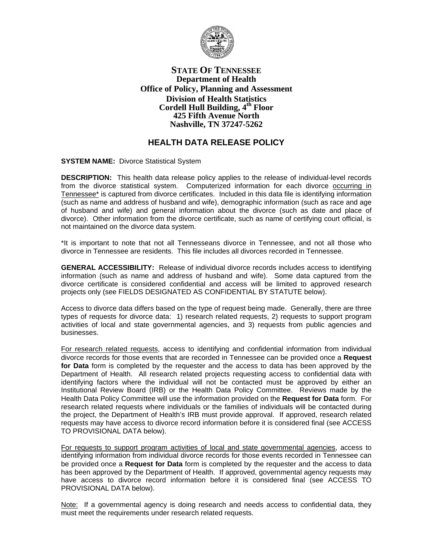

## **STATE OF TENNESSEE Department of Health Office of Policy, Planning and Assessment Division of Health Statistics Cordell Hull Building, 4th Floor 425 Fifth Avenue North Nashville, TN 37247-5262**

## **HEALTH DATA RELEASE POLICY**

**SYSTEM NAME:** Divorce Statistical System

**DESCRIPTION:** This health data release policy applies to the release of individual-level records from the divorce statistical system. Computerized information for each divorce occurring in Tennessee\* is captured from divorce certificates. Included in this data file is identifying information (such as name and address of husband and wife), demographic information (such as race and age of husband and wife) and general information about the divorce (such as date and place of divorce). Other information from the divorce certificate, such as name of certifying court official, is not maintained on the divorce data system.

\*It is important to note that not all Tennesseans divorce in Tennessee, and not all those who divorce in Tennessee are residents. This file includes all divorces recorded in Tennessee.

**GENERAL ACCESSIBILITY:** Release of individual divorce records includes access to identifying information (such as name and address of husband and wife). Some data captured from the divorce certificate is considered confidential and access will be limited to approved research projects only (see FIELDS DESIGNATED AS CONFIDENTIAL BY STATUTE below).

Access to divorce data differs based on the type of request being made. Generally, there are three types of requests for divorce data: 1) research related requests, 2) requests to support program activities of local and state governmental agencies, and 3) requests from public agencies and businesses.

For research related requests, access to identifying and confidential information from individual divorce records for those events that are recorded in Tennessee can be provided once a **Request for Data** form is completed by the requester and the access to data has been approved by the Department of Health. All research related projects requesting access to confidential data with identifying factors where the individual will not be contacted must be approved by either an Institutional Review Board (IRB) or the Health Data Policy Committee. Reviews made by the Health Data Policy Committee will use the information provided on the **Request for Data** form. For research related requests where individuals or the families of individuals will be contacted during the project, the Department of Health's IRB must provide approval. If approved, research related requests may have access to divorce record information before it is considered final (see ACCESS TO PROVISIONAL DATA below).

For requests to support program activities of local and state governmental agencies, access to identifying information from individual divorce records for those events recorded in Tennessee can be provided once a **Request for Data** form is completed by the requester and the access to data has been approved by the Department of Health. If approved, governmental agency requests may have access to divorce record information before it is considered final (see ACCESS TO PROVISIONAL DATA below).

Note: If a governmental agency is doing research and needs access to confidential data, they must meet the requirements under research related requests.